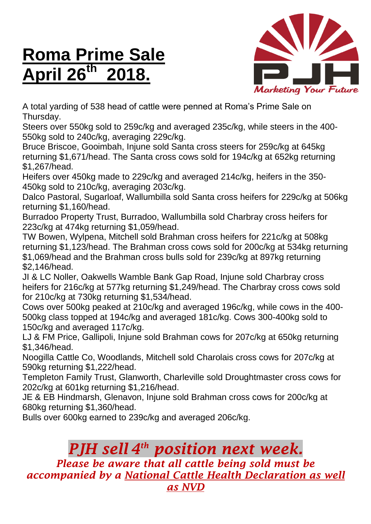## **Roma Prime Sale April 26 th 2018.**



A total yarding of 538 head of cattle were penned at Roma's Prime Sale on Thursday.

Steers over 550kg sold to 259c/kg and averaged 235c/kg, while steers in the 400- 550kg sold to 240c/kg, averaging 229c/kg.

Bruce Briscoe, Gooimbah, Injune sold Santa cross steers for 259c/kg at 645kg returning \$1,671/head. The Santa cross cows sold for 194c/kg at 652kg returning \$1,267/head.

Heifers over 450kg made to 229c/kg and averaged 214c/kg, heifers in the 350- 450kg sold to 210c/kg, averaging 203c/kg.

Dalco Pastoral, Sugarloaf, Wallumbilla sold Santa cross heifers for 229c/kg at 506kg returning \$1,160/head.

Burradoo Property Trust, Burradoo, Wallumbilla sold Charbray cross heifers for 223c/kg at 474kg returning \$1,059/head.

TW Bowen, Wylpena, Mitchell sold Brahman cross heifers for 221c/kg at 508kg returning \$1,123/head. The Brahman cross cows sold for 200c/kg at 534kg returning \$1,069/head and the Brahman cross bulls sold for 239c/kg at 897kg returning \$2,146/head.

JI & LC Noller, Oakwells Wamble Bank Gap Road, Injune sold Charbray cross heifers for 216c/kg at 577kg returning \$1,249/head. The Charbray cross cows sold for 210c/kg at 730kg returning \$1,534/head.

Cows over 500kg peaked at 210c/kg and averaged 196c/kg, while cows in the 400- 500kg class topped at 194c/kg and averaged 181c/kg. Cows 300-400kg sold to 150c/kg and averaged 117c/kg.

LJ & FM Price, Gallipoli, Injune sold Brahman cows for 207c/kg at 650kg returning \$1,346/head.

Noogilla Cattle Co, Woodlands, Mitchell sold Charolais cross cows for 207c/kg at 590kg returning \$1,222/head.

Templeton Family Trust, Glanworth, Charleville sold Droughtmaster cross cows for 202c/kg at 601kg returning \$1,216/head.

JE & EB Hindmarsh, Glenavon, Injune sold Brahman cross cows for 200c/kg at 680kg returning \$1,360/head.

Bulls over 600kg earned to 239c/kg and averaged 206c/kg.

## *PJH sell 4 th position next week.*

*Please be aware that all cattle being sold must be accompanied by a National Cattle Health Declaration as well as NVD*